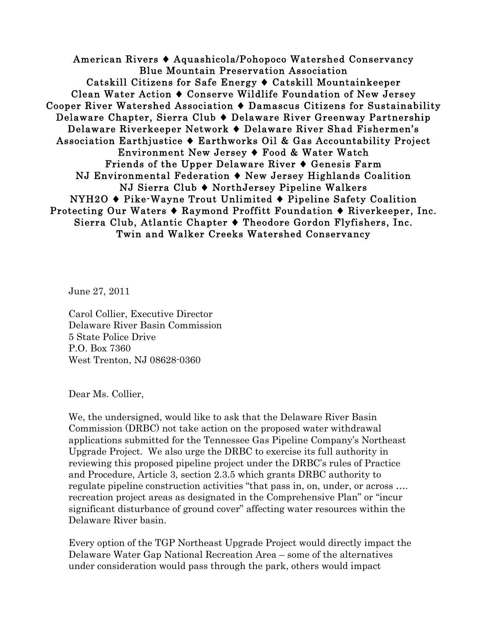American Rivers ♦ Aquashicola/Pohopoco Watershed Conservancy Blue Mountain Preservation Association Catskill Citizens for Safe Energy ♦ Catskill Mountainkeeper Clean Water Action ♦ Conserve Wildlife Foundation of New Jersey Cooper River Watershed Association ♦ Damascus Citizens for Sustainability Delaware Chapter, Sierra Club ♦ Delaware River Greenway Partnership Delaware Riverkeeper Network ♦ Delaware River Shad Fishermen's Association Earthjustice ♦ Earthworks Oil & Gas Accountability Project Environment New Jersey ♦ Food & Water Watch Friends of the Upper Delaware River ♦ Genesis Farm NJ Environmental Federation ♦ New Jersey Highlands Coalition NJ Sierra Club ♦ NorthJersey Pipeline Walkers NYH2O ♦ Pike-Wayne Trout Unlimited ♦ Pipeline Safety Coalition Protecting Our Waters ♦ Raymond Proffitt Foundation ♦ Riverkeeper, Inc. Sierra Club, Atlantic Chapter ♦ Theodore Gordon Flyfishers, Inc. Twin and Walker Creeks Watershed Conservancy

June 27, 2011

Carol Collier, Executive Director Delaware River Basin Commission 5 State Police Drive P.O. Box 7360 West Trenton, NJ 08628-0360

Dear Ms. Collier,

We, the undersigned, would like to ask that the Delaware River Basin Commission (DRBC) not take action on the proposed water withdrawal applications submitted for the Tennessee Gas Pipeline Company's Northeast Upgrade Project. We also urge the DRBC to exercise its full authority in reviewing this proposed pipeline project under the DRBC's rules of Practice and Procedure, Article 3, section 2.3.5 which grants DRBC authority to regulate pipeline construction activities "that pass in, on, under, or across …. recreation project areas as designated in the Comprehensive Plan" or "incur significant disturbance of ground cover" affecting water resources within the Delaware River basin.

Every option of the TGP Northeast Upgrade Project would directly impact the Delaware Water Gap National Recreation Area – some of the alternatives under consideration would pass through the park, others would impact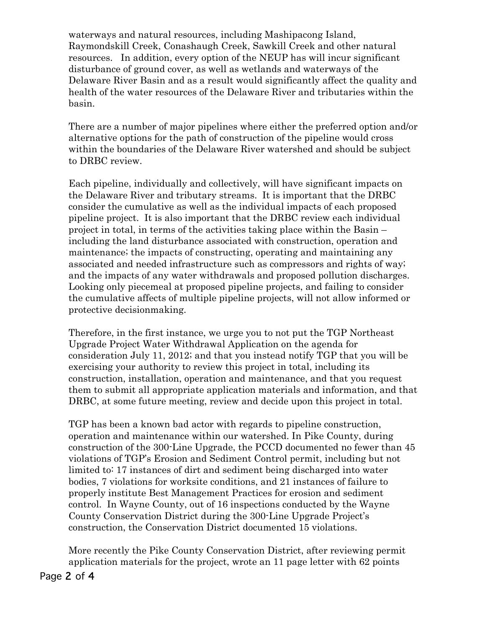waterways and natural resources, including Mashipacong Island, Raymondskill Creek, Conashaugh Creek, Sawkill Creek and other natural resources. In addition, every option of the NEUP has will incur significant disturbance of ground cover, as well as wetlands and waterways of the Delaware River Basin and as a result would significantly affect the quality and health of the water resources of the Delaware River and tributaries within the basin.

There are a number of major pipelines where either the preferred option and/or alternative options for the path of construction of the pipeline would cross within the boundaries of the Delaware River watershed and should be subject to DRBC review.

Each pipeline, individually and collectively, will have significant impacts on the Delaware River and tributary streams. It is important that the DRBC consider the cumulative as well as the individual impacts of each proposed pipeline project. It is also important that the DRBC review each individual project in total, in terms of the activities taking place within the Basin – including the land disturbance associated with construction, operation and maintenance; the impacts of constructing, operating and maintaining any associated and needed infrastructure such as compressors and rights of way; and the impacts of any water withdrawals and proposed pollution discharges. Looking only piecemeal at proposed pipeline projects, and failing to consider the cumulative affects of multiple pipeline projects, will not allow informed or protective decisionmaking.

Therefore, in the first instance, we urge you to not put the TGP Northeast Upgrade Project Water Withdrawal Application on the agenda for consideration July 11, 2012; and that you instead notify TGP that you will be exercising your authority to review this project in total, including its construction, installation, operation and maintenance, and that you request them to submit all appropriate application materials and information, and that DRBC, at some future meeting, review and decide upon this project in total.

TGP has been a known bad actor with regards to pipeline construction, operation and maintenance within our watershed. In Pike County, during construction of the 300-Line Upgrade, the PCCD documented no fewer than 45 violations of TGP's Erosion and Sediment Control permit, including but not limited to: 17 instances of dirt and sediment being discharged into water bodies, 7 violations for worksite conditions, and 21 instances of failure to properly institute Best Management Practices for erosion and sediment control. In Wayne County, out of 16 inspections conducted by the Wayne County Conservation District during the 300-Line Upgrade Project's construction, the Conservation District documented 15 violations.

More recently the Pike County Conservation District, after reviewing permit application materials for the project, wrote an 11 page letter with 62 points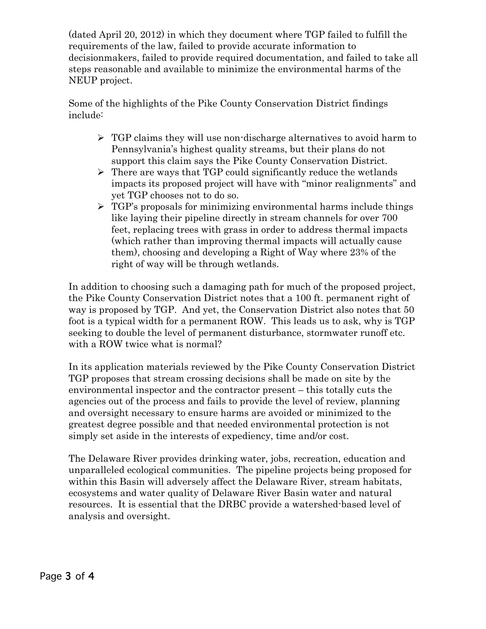(dated April 20, 2012) in which they document where TGP failed to fulfill the requirements of the law, failed to provide accurate information to decisionmakers, failed to provide required documentation, and failed to take all steps reasonable and available to minimize the environmental harms of the NEUP project.

Some of the highlights of the Pike County Conservation District findings include:

- $\triangleright$  TGP claims they will use non-discharge alternatives to avoid harm to Pennsylvania's highest quality streams, but their plans do not support this claim says the Pike County Conservation District.
- $\triangleright$  There are ways that TGP could significantly reduce the wetlands impacts its proposed project will have with "minor realignments" and yet TGP chooses not to do so.
- $\triangleright$  TGP's proposals for minimizing environmental harms include things like laying their pipeline directly in stream channels for over 700 feet, replacing trees with grass in order to address thermal impacts (which rather than improving thermal impacts will actually cause them), choosing and developing a Right of Way where 23% of the right of way will be through wetlands.

In addition to choosing such a damaging path for much of the proposed project, the Pike County Conservation District notes that a 100 ft. permanent right of way is proposed by TGP. And yet, the Conservation District also notes that 50 foot is a typical width for a permanent ROW. This leads us to ask, why is TGP seeking to double the level of permanent disturbance, stormwater runoff etc. with a ROW twice what is normal?

In its application materials reviewed by the Pike County Conservation District TGP proposes that stream crossing decisions shall be made on site by the environmental inspector and the contractor present – this totally cuts the agencies out of the process and fails to provide the level of review, planning and oversight necessary to ensure harms are avoided or minimized to the greatest degree possible and that needed environmental protection is not simply set aside in the interests of expediency, time and/or cost.

The Delaware River provides drinking water, jobs, recreation, education and unparalleled ecological communities. The pipeline projects being proposed for within this Basin will adversely affect the Delaware River, stream habitats, ecosystems and water quality of Delaware River Basin water and natural resources. It is essential that the DRBC provide a watershed-based level of analysis and oversight.